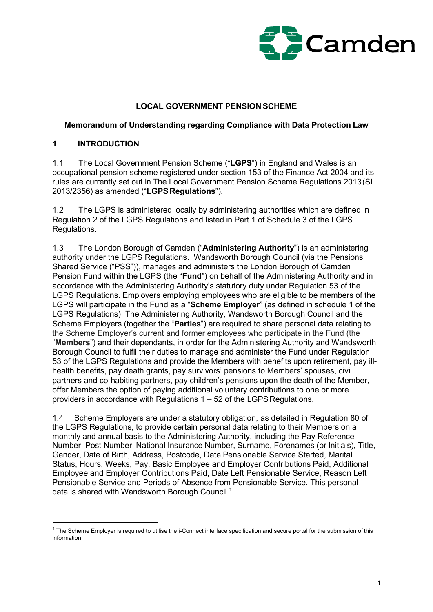

#### LOCAL GOVERNMENT PENSION SCHEME

#### Memorandum of Understanding regarding Compliance with Data Protection Law

#### 1 INTRODUCTION

1.1 The Local Government Pension Scheme ("LGPS") in England and Wales is an occupational pension scheme registered under section 153 of the Finance Act 2004 and its rules are currently set out in The Local Government Pension Scheme Regulations 2013 (SI 2013/2356) as amended ("LGPS Regulations").

1.2 The LGPS is administered locally by administering authorities which are defined in Regulation 2 of the LGPS Regulations and listed in Part 1 of Schedule 3 of the LGPS Regulations.

1.3 The London Borough of Camden ("Administering Authority") is an administering authority under the LGPS Regulations. Wandsworth Borough Council (via the Pensions Shared Service ("PSS")), manages and administers the London Borough of Camden Pension Fund within the LGPS (the "**Fund**") on behalf of the Administering Authority and in accordance with the Administering Authority's statutory duty under Regulation 53 of the LGPS Regulations. Employers employing employees who are eligible to be members of the LGPS will participate in the Fund as a "Scheme Employer" (as defined in schedule 1 of the LGPS Regulations). The Administering Authority, Wandsworth Borough Council and the Scheme Employers (together the "Parties") are required to share personal data relating to the Scheme Employer's current and former employees who participate in the Fund (the "Members") and their dependants, in order for the Administering Authority and Wandsworth Borough Council to fulfil their duties to manage and administer the Fund under Regulation 53 of the LGPS Regulations and provide the Members with benefits upon retirement, pay illhealth benefits, pay death grants, pay survivors' pensions to Members' spouses, civil partners and co-habiting partners, pay children's pensions upon the death of the Member, offer Members the option of paying additional voluntary contributions to one or more providers in accordance with Regulations 1 – 52 of the LGPS Regulations.

1.4 Scheme Employers are under a statutory obligation, as detailed in Regulation 80 of the LGPS Regulations, to provide certain personal data relating to their Members on a monthly and annual basis to the Administering Authority, including the Pay Reference Number, Post Number, National Insurance Number, Surname, Forenames (or Initials), Title, Gender, Date of Birth, Address, Postcode, Date Pensionable Service Started, Marital Status, Hours, Weeks, Pay, Basic Employee and Employer Contributions Paid, Additional Employee and Employer Contributions Paid, Date Left Pensionable Service, Reason Left Pensionable Service and Periods of Absence from Pensionable Service. This personal data is shared with Wandsworth Borough Council.<sup>1</sup>

 $<sup>1</sup>$  The Scheme Employer is required to utilise the i-Connect interface specification and secure portal for the submission of this</sup> information.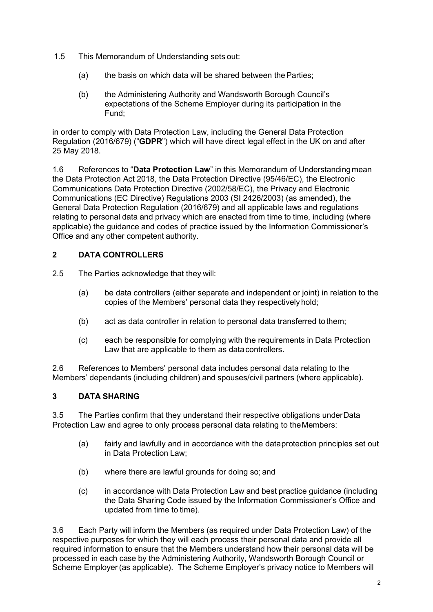- 1.5 This Memorandum of Understanding sets out:
	- (a) the basis on which data will be shared between the Parties;
	- (b) the Administering Authority and Wandsworth Borough Council's expectations of the Scheme Employer during its participation in the Fund;

in order to comply with Data Protection Law, including the General Data Protection Regulation (2016/679) ("GDPR") which will have direct legal effect in the UK on and after 25 May 2018.

1.6 References to "Data Protection Law" in this Memorandum of Understanding mean the Data Protection Act 2018, the Data Protection Directive (95/46/EC), the Electronic Communications Data Protection Directive (2002/58/EC), the Privacy and Electronic Communications (EC Directive) Regulations 2003 (SI 2426/2003) (as amended), the General Data Protection Regulation (2016/679) and all applicable laws and regulations relating to personal data and privacy which are enacted from time to time, including (where applicable) the guidance and codes of practice issued by the Information Commissioner's Office and any other competent authority.

### 2 DATA CONTROLLERS

2.5 The Parties acknowledge that they will:

- (a) be data controllers (either separate and independent or joint) in relation to the copies of the Members' personal data they respectively hold;
- (b) act as data controller in relation to personal data transferred to them;
- (c) each be responsible for complying with the requirements in Data Protection Law that are applicable to them as data controllers.

2.6 References to Members' personal data includes personal data relating to the Members' dependants (including children) and spouses/civil partners (where applicable).

### 3 DATA SHARING

3.5 The Parties confirm that they understand their respective obligations under Data Protection Law and agree to only process personal data relating to the Members:

- (a) fairly and lawfully and in accordance with the data protection principles set out in Data Protection Law;
- (b) where there are lawful grounds for doing so; and
- (c) in accordance with Data Protection Law and best practice guidance (including the Data Sharing Code issued by the Information Commissioner's Office and updated from time to time).

3.6 Each Party will inform the Members (as required under Data Protection Law) of the respective purposes for which they will each process their personal data and provide all required information to ensure that the Members understand how their personal data will be processed in each case by the Administering Authority, Wandsworth Borough Council or Scheme Employer (as applicable). The Scheme Employer's privacy notice to Members will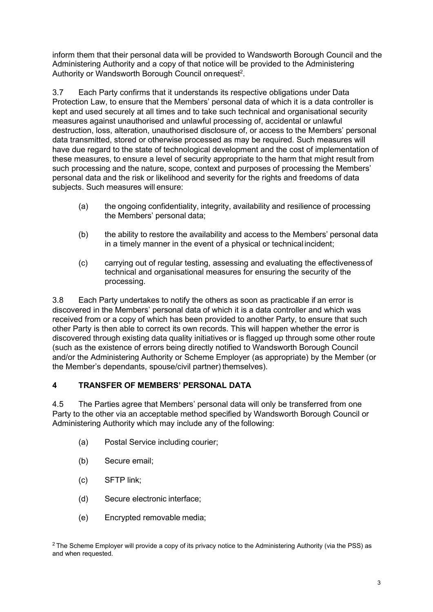inform them that their personal data will be provided to Wandsworth Borough Council and the Administering Authority and a copy of that notice will be provided to the Administering Authority or Wandsworth Borough Council on request<sup>2</sup>.

3.7 Each Party confirms that it understands its respective obligations under Data Protection Law, to ensure that the Members' personal data of which it is a data controller is kept and used securely at all times and to take such technical and organisational security measures against unauthorised and unlawful processing of, accidental or unlawful destruction, loss, alteration, unauthorised disclosure of, or access to the Members' personal data transmitted, stored or otherwise processed as may be required. Such measures will have due regard to the state of technological development and the cost of implementation of these measures, to ensure a level of security appropriate to the harm that might result from such processing and the nature, scope, context and purposes of processing the Members' personal data and the risk or likelihood and severity for the rights and freedoms of data subjects. Such measures will ensure:

- (a) the ongoing confidentiality, integrity, availability and resilience of processing the Members' personal data;
- (b) the ability to restore the availability and access to the Members' personal data in a timely manner in the event of a physical or technical incident;
- (c) carrying out of regular testing, assessing and evaluating the effectiveness of technical and organisational measures for ensuring the security of the processing.

3.8 Each Party undertakes to notify the others as soon as practicable if an error is discovered in the Members' personal data of which it is a data controller and which was received from or a copy of which has been provided to another Party, to ensure that such other Party is then able to correct its own records. This will happen whether the error is discovered through existing data quality initiatives or is flagged up through some other route (such as the existence of errors being directly notified to Wandsworth Borough Council and/or the Administering Authority or Scheme Employer (as appropriate) by the Member (or the Member's dependants, spouse/civil partner) themselves).

### 4 TRANSFER OF MEMBERS' PERSONAL DATA

4.5 The Parties agree that Members' personal data will only be transferred from one Party to the other via an acceptable method specified by Wandsworth Borough Council or Administering Authority which may include any of the following:

- (a) Postal Service including courier;
- (b) Secure email;
- (c) SFTP link;
- (d) Secure electronic interface;
- (e) Encrypted removable media;

<sup>2</sup> The Scheme Employer will provide a copy of its privacy notice to the Administering Authority (via the PSS) as and when requested.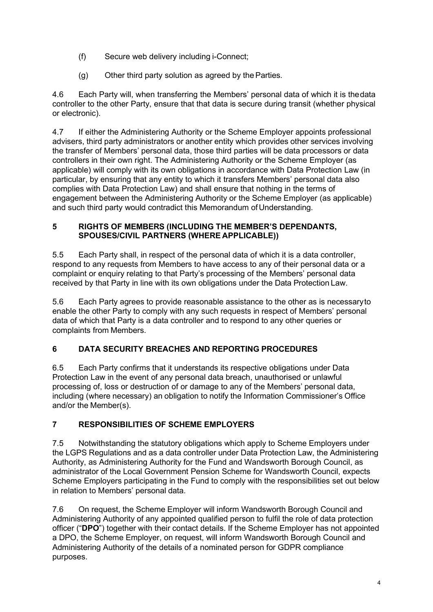- (f) Secure web delivery including i-Connect;
- (g) Other third party solution as agreed by the Parties.

4.6 Each Party will, when transferring the Members' personal data of which it is the data controller to the other Party, ensure that that data is secure during transit (whether physical or electronic).

4.7 If either the Administering Authority or the Scheme Employer appoints professional advisers, third party administrators or another entity which provides other services involving the transfer of Members' personal data, those third parties will be data processors or data controllers in their own right. The Administering Authority or the Scheme Employer (as applicable) will comply with its own obligations in accordance with Data Protection Law (in particular, by ensuring that any entity to which it transfers Members' personal data also complies with Data Protection Law) and shall ensure that nothing in the terms of engagement between the Administering Authority or the Scheme Employer (as applicable) and such third party would contradict this Memorandum of Understanding.

### 5 RIGHTS OF MEMBERS (INCLUDING THE MEMBER'S DEPENDANTS, SPOUSES/CIVIL PARTNERS (WHERE APPLICABLE))

5.5 Each Party shall, in respect of the personal data of which it is a data controller, respond to any requests from Members to have access to any of their personal data or a complaint or enquiry relating to that Party's processing of the Members' personal data received by that Party in line with its own obligations under the Data Protection Law.

5.6 Each Party agrees to provide reasonable assistance to the other as is necessary to enable the other Party to comply with any such requests in respect of Members' personal data of which that Party is a data controller and to respond to any other queries or complaints from Members.

# 6 DATA SECURITY BREACHES AND REPORTING PROCEDURES

6.5 Each Party confirms that it understands its respective obligations under Data Protection Law in the event of any personal data breach, unauthorised or unlawful processing of, loss or destruction of or damage to any of the Members' personal data, including (where necessary) an obligation to notify the Information Commissioner's Office and/or the Member(s).

# 7 RESPONSIBILITIES OF SCHEME EMPLOYERS

7.5 Notwithstanding the statutory obligations which apply to Scheme Employers under the LGPS Regulations and as a data controller under Data Protection Law, the Administering Authority, as Administering Authority for the Fund and Wandsworth Borough Council, as administrator of the Local Government Pension Scheme for Wandsworth Council, expects Scheme Employers participating in the Fund to comply with the responsibilities set out below in relation to Members' personal data.

7.6 On request, the Scheme Employer will inform Wandsworth Borough Council and Administering Authority of any appointed qualified person to fulfil the role of data protection officer ("DPO") together with their contact details. If the Scheme Employer has not appointed a DPO, the Scheme Employer, on request, will inform Wandsworth Borough Council and Administering Authority of the details of a nominated person for GDPR compliance purposes.